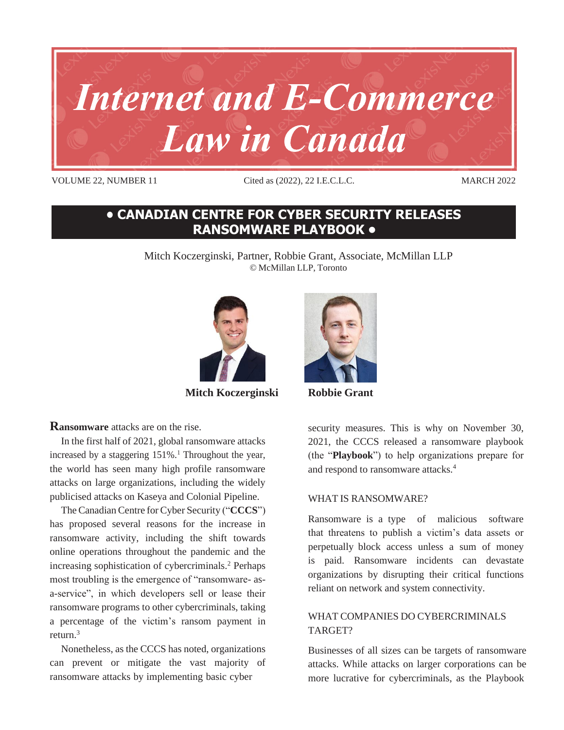

VOLUME 22, NUMBER 11 Cited as (2022), 22 I.E.C.L.C. MARCH 2022

## **• CANADIAN CENTRE FOR CYBER SECURITY RELEASES RANSOMWARE PLAYBOOK •**

Mitch Koczerginski, Partner, Robbie Grant, Associate, McMillan LLP © McMillan LLP, Toronto



**Mitch Koczerginski Robbie Grant** 

**Ransomware** attacks are on the rise.

In the first half of 2021, global ransomware attacks increased by a staggering  $151\%$ .<sup>1</sup> Throughout the year, the world has seen many high profile ransomware attacks on large organizations, including the widely publicised attacks on Kaseya and Colonial Pipeline.

The Canadian Centre for Cyber Security ("CCCS") has proposed several reasons for the increase in ransomware activity, including the shift towards online operations throughout the pandemic and the increasing sophistication of cybercriminals.<sup>2</sup> Perhaps most troubling is the emergence of "ransomware- asa-service", in which developers sell or lease their ransomware programs to other cybercriminals, taking a percentage of the victim's ransom payment in return.<sup>3</sup>

Nonetheless, as the CCCS has noted, organizations can prevent or mitigate the vast majority of ransomware attacks by implementing basic cyber



security measures. This is why on November 30, 2021, the CCCS released a ransomware playbook (the "**Playbook**") to help organizations prepare for and respond to ransomware attacks.<sup>4</sup>

## WHAT IS RANSOMWARE?

Ransomware is a type of malicious software that threatens to publish a victim's data assets or perpetually block access unless a sum of money is paid. Ransomware incidents can devastate organizations by disrupting their critical functions reliant on network and system connectivity.

## WHAT COMPANIES DO CYBERCRIMINALS TARGET?

Businesses of all sizes can be targets of ransomware attacks. While attacks on larger corporations can be more lucrative for cybercriminals, as the Playbook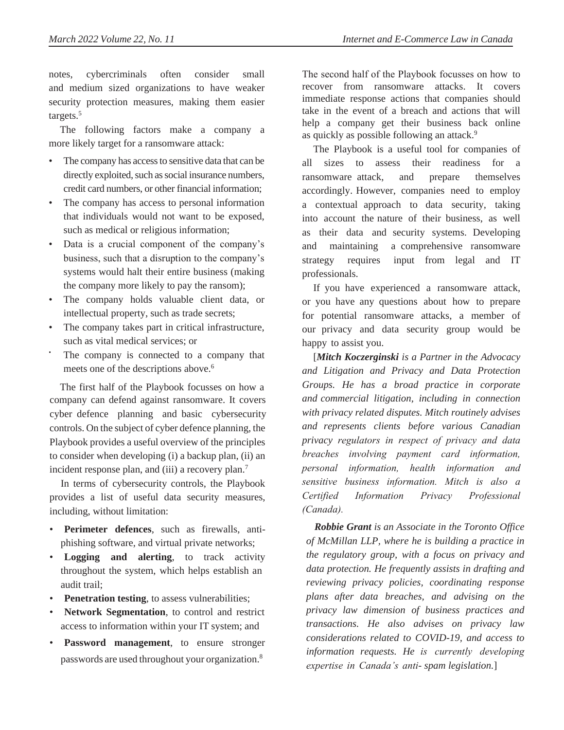notes, cybercriminals often consider small and medium sized organizations to have weaker security protection measures, making them easier targets.<sup>5</sup>

The following factors make a company a more likely target for a ransomware attack:

- The company has access to sensitive data that can be directly exploited, such as social insurance numbers, credit card numbers, or other financial information;
- The company has access to personal information that individuals would not want to be exposed, such as medical or religious information;
- Data is a crucial component of the company's business, such that a disruption to the company's systems would halt their entire business (making the company more likely to pay the ransom);
- The company holds valuable client data, or intellectual property, such as trade secrets;
- The company takes part in critical infrastructure, such as vital medical services; or
- The company is connected to a company that meets one of the descriptions above.<sup>6</sup>

The first half of the Playbook focusses on how a company can defend against ransomware. It covers cyber defence planning and basic cybersecurity controls. On the subject of cyber defence planning, the Playbook provides a useful overview of the principles to consider when developing (i) a backup plan, (ii) an incident response plan, and (iii) a recovery plan.<sup>7</sup>

In terms of cybersecurity controls, the Playbook provides a list of useful data security measures, including, without limitation:

- **Perimeter defences**, such as firewalls, antiphishing software, and virtual private networks;
- **Logging and alerting**, to track activity throughout the system, which helps establish an audit trail;
- **Penetration testing**, to assess vulnerabilities;
- **Network Segmentation**, to control and restrict access to information within your IT system; and
- **Password management**, to ensure stronger passwords are used throughout your organization.<sup>8</sup>

The second half of the Playbook focusses on how to recover from ransomware attacks. It covers immediate response actions that companies should take in the event of a breach and actions that will help a company get their business back online as quickly as possible following an attack.<sup>9</sup>

The Playbook is a useful tool for companies of all sizes to assess their readiness for a ransomware attack, and prepare themselves accordingly. However, companies need to employ a contextual approach to data security, taking into account the nature of their business, as well as their data and security systems. Developing and maintaining a comprehensive ransomware strategy requires input from legal and IT professionals.

If you have experienced a ransomware attack, or you have any questions about how to prepare for potential ransomware attacks, a member of our privacy and data security group would be happy to assist you.

[*Mitch Koczerginski is a Partner in the Advocacy and Litigation and Privacy and Data Protection Groups. He has a broad practice in corporate and commercial litigation, including in connection with privacy related disputes. Mitch routinely advises and represents clients before various Canadian privacy regulators in respect of privacy and data breaches involving payment card information, personal information, health information and sensitive business information. Mitch is also a Certified Information Privacy Professional (Canada).* 

 *Robbie Grant is an Associate in the Toronto Office of McMillan LLP, where he is building a practice in the regulatory group, with a focus on privacy and data protection. He frequently assists in drafting and reviewing privacy policies, coordinating response plans after data breaches, and advising on the privacy law dimension of business practices and transactions. He also advises on privacy law considerations related to COVID-19, and access to information requests. He is currently developing expertise in Canada's anti- spam legislation.*]